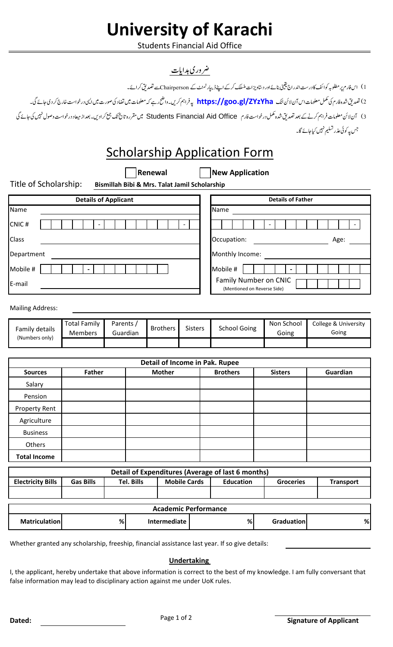# **University of Karachi**

**Students Financial Aid Office** 

## ضر در ی ہدایات

1) اس فارم پر مطلوبہ کوا ئف کا درست اندراج یقینی بنائے اور دستاویز ات منسلک کرکے اپنے ڈیپارٹمنٹ کے Chairpersonکسے تصدیق کر ائے۔ 2) تصدیق شده فارم کی مکمل معلومات اس آن لائن لنک <mark>https://goo.gl/ZYzYha</mark> په فراہم کریں۔واضح رہے کہ معلومات میں تضاد کی صورت میں ایپی درخواست خارج کر دی جائے گی۔ 3) آن لائن معلومات فراہم کرنے کے بعد تصدیق شدہ مکمل درخواست فارم Students Financial Aid Office میں مقررہ تاریخ تک جیح کرادیں۔ بعداز میعاد درخواست وصول نہیں کی جائے گی

|  |  | cholarship Application Form |  |
|--|--|-----------------------------|--|

**Sc** р Аррн New Application Renewal Title of Scholarship: Bismillah Bibi & Mrs. Talat Jamil Scholarship **Details of Father Details of Applicant** Name Name CNIC#  $\mathbb{Z}^{\mathbb{Z}}$  $\mathbb{Z}^{\mathbb{Z}}$  $\omega_{\rm c}$ Class Occupation: Age: Department Monthly Income:  $\mathbb{Z}^{\mathbb{Z}}$ Mobile # Mobile #  $\mathbf{L}$ Family Number on CNIC E-mail (Mentioned on Reverse Side) **Mailing Address: Total Family** Parents / Non School College & University **Brothers School Going Sisters** Family details **Members** Guardian Going Going (Numbers only) Detail of Income in Pak. Rupee Father **Mother** Guardian **Sources Brothers Sisters** Salary Pension **Property Rent** Agriculture **Business** Others **Total Income** Detail of Expenditures (Average of last 6 months) **Electricity Bills Gas Bills Tel. Bills Mobile Cards Education Groceries Transport Academic Performance Matriculation**  $\%$ Intermediate  $%$ Graduation %

Whether granted any scholarship, freeship, financial assistance last year. If so give details:

#### **Undertaking**

I, the applicant, hereby undertake that above information is correct to the best of my knowledge. I am fully conversant that false information may lead to disciplinary action against me under UoK rules.

جس پہ کوئی عذر تسلیم نہیں کیاجائے گا۔